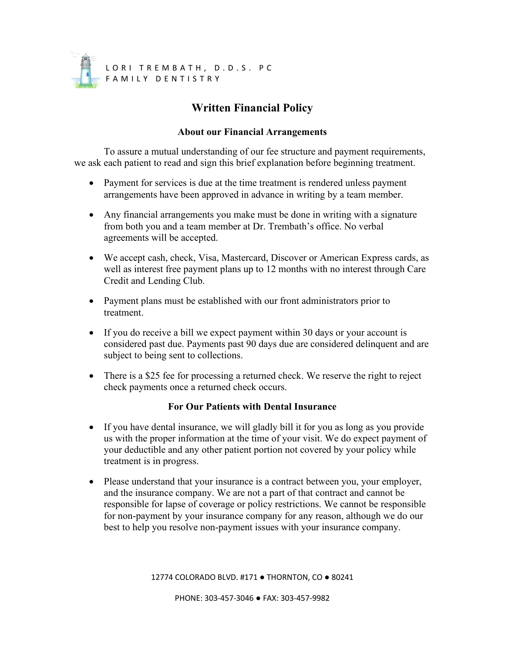

## **Written Financial Policy**

## **About our Financial Arrangements**

To assure a mutual understanding of our fee structure and payment requirements, we ask each patient to read and sign this brief explanation before beginning treatment.

- Payment for services is due at the time treatment is rendered unless payment arrangements have been approved in advance in writing by a team member.
- Any financial arrangements you make must be done in writing with a signature from both you and a team member at Dr. Trembath's office. No verbal agreements will be accepted.
- We accept cash, check, Visa, Mastercard, Discover or American Express cards, as well as interest free payment plans up to 12 months with no interest through Care Credit and Lending Club.
- Payment plans must be established with our front administrators prior to treatment.
- If you do receive a bill we expect payment within 30 days or your account is considered past due. Payments past 90 days due are considered delinquent and are subject to being sent to collections.
- There is a \$25 fee for processing a returned check. We reserve the right to reject check payments once a returned check occurs.

## **For Our Patients with Dental Insurance**

- If you have dental insurance, we will gladly bill it for you as long as you provide us with the proper information at the time of your visit. We do expect payment of your deductible and any other patient portion not covered by your policy while treatment is in progress.
- Please understand that your insurance is a contract between you, your employer, and the insurance company. We are not a part of that contract and cannot be responsible for lapse of coverage or policy restrictions. We cannot be responsible for non-payment by your insurance company for any reason, although we do our best to help you resolve non-payment issues with your insurance company.

12774 COLORADO BLVD. #171 ● THORNTON, CO ● 80241

PHONE: 303-457-3046 ● FAX: 303-457-9982